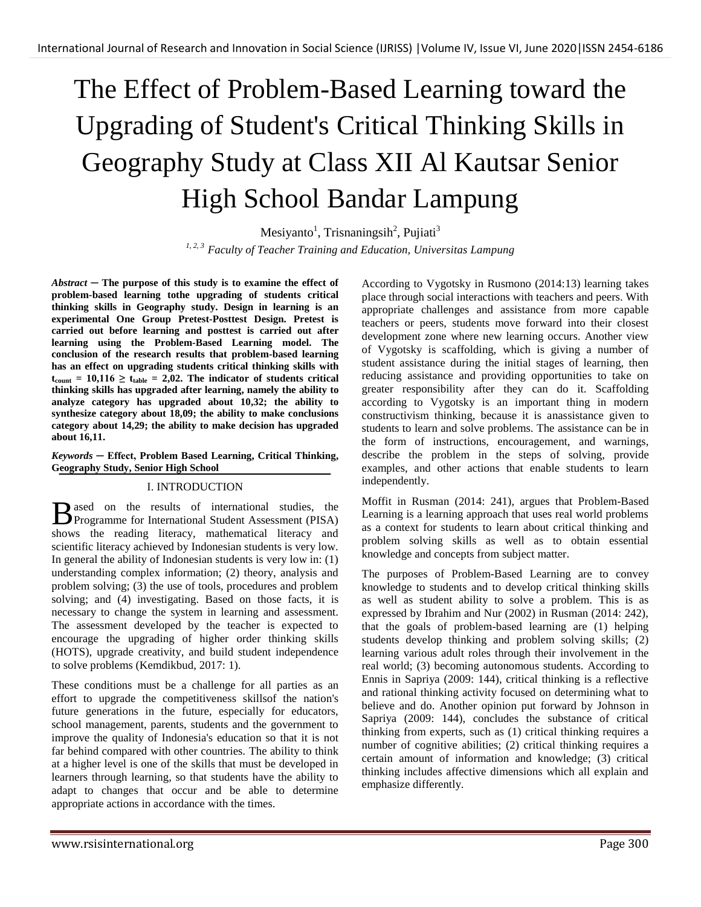# The Effect of Problem-Based Learning toward the Upgrading of Student's Critical Thinking Skills in Geography Study at Class XII Al Kautsar Senior High School Bandar Lampung

Mesiyanto<sup>1</sup>, Trisnaningsih<sup>2</sup>, Pujiati<sup>3</sup>

*1, 2, 3 Faculty of Teacher Training and Education, Universitas Lampung*

*Abstract ─* **The purpose of this study is to examine the effect of problem-based learning tothe upgrading of students critical thinking skills in Geography study. Design in learning is an experimental One Group Pretest-Posttest Design. Pretest is carried out before learning and posttest is carried out after learning using the Problem-Based Learning model. The conclusion of the research results that problem-based learning has an effect on upgrading students critical thinking skills with**   $t_{\text{count}} = 10,116 \ge t_{\text{table}} = 2,02$ . The indicator of students critical **thinking skills has upgraded after learning, namely the ability to analyze category has upgraded about 10,32; the ability to synthesize category about 18,09; the ability to make conclusions category about 14,29; the ability to make decision has upgraded about 16,11.**

## *Keywords* **─ Effect, Problem Based Learning, Critical Thinking, Geography Study, Senior High School**

# I. INTRODUCTION

ased on the results of international studies, the B ased on the results of international studies, the Programme for International Student Assessment (PISA) shows the reading literacy, mathematical literacy and scientific literacy achieved by Indonesian students is very low. In general the ability of Indonesian students is very low in: (1) understanding complex information; (2) theory, analysis and problem solving; (3) the use of tools, procedures and problem solving; and (4) investigating. Based on those facts, it is necessary to change the system in learning and assessment. The assessment developed by the teacher is expected to encourage the upgrading of higher order thinking skills (HOTS), upgrade creativity, and build student independence to solve problems (Kemdikbud, 2017: 1).

These conditions must be a challenge for all parties as an effort to upgrade the competitiveness skillsof the nation's future generations in the future, especially for educators, school management, parents, students and the government to improve the quality of Indonesia's education so that it is not far behind compared with other countries. The ability to think at a higher level is one of the skills that must be developed in learners through learning, so that students have the ability to adapt to changes that occur and be able to determine appropriate actions in accordance with the times.

According to Vygotsky in Rusmono (2014:13) learning takes place through social interactions with teachers and peers. With appropriate challenges and assistance from more capable teachers or peers, students move forward into their closest development zone where new learning occurs. Another view of Vygotsky is scaffolding, which is giving a number of student assistance during the initial stages of learning, then reducing assistance and providing opportunities to take on greater responsibility after they can do it. Scaffolding according to Vygotsky is an important thing in modern constructivism thinking, because it is anassistance given to students to learn and solve problems. The assistance can be in the form of instructions, encouragement, and warnings, describe the problem in the steps of solving, provide examples, and other actions that enable students to learn independently.

Moffit in Rusman (2014: 241), argues that Problem-Based Learning is a learning approach that uses real world problems as a context for students to learn about critical thinking and problem solving skills as well as to obtain essential knowledge and concepts from subject matter.

The purposes of Problem-Based Learning are to convey knowledge to students and to develop critical thinking skills as well as student ability to solve a problem. This is as expressed by Ibrahim and Nur (2002) in Rusman (2014: 242), that the goals of problem-based learning are (1) helping students develop thinking and problem solving skills; (2) learning various adult roles through their involvement in the real world; (3) becoming autonomous students. According to Ennis in Sapriya (2009: 144), critical thinking is a reflective and rational thinking activity focused on determining what to believe and do. Another opinion put forward by Johnson in Sapriya (2009: 144), concludes the substance of critical thinking from experts, such as (1) critical thinking requires a number of cognitive abilities; (2) critical thinking requires a certain amount of information and knowledge; (3) critical thinking includes affective dimensions which all explain and emphasize differently.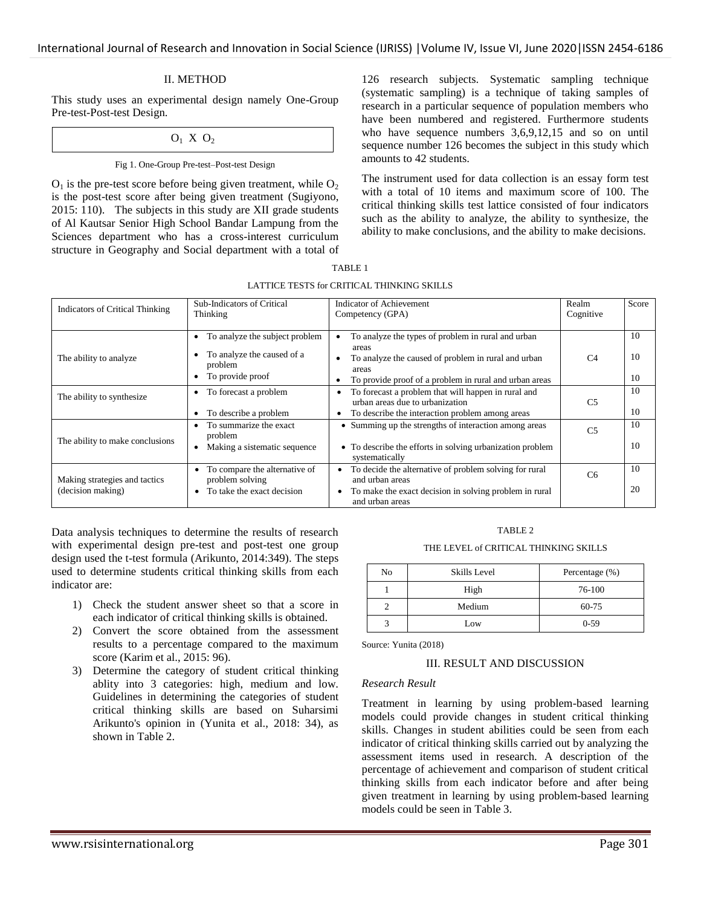## II. METHOD

This study uses an experimental design namely One-Group Pre-test-Post-test Design.

## $O_1$  X  $O_2$

## Fig 1. One-Group Pre-test–Post-test Design

 $O_1$  is the pre-test score before being given treatment, while  $O_2$ is the post-test score after being given treatment (Sugiyono, 2015: 110). The subjects in this study are XII grade students of Al Kautsar Senior High School Bandar Lampung from the Sciences department who has a cross-interest curriculum structure in Geography and Social department with a total of 126 research subjects. Systematic sampling technique (systematic sampling) is a technique of taking samples of research in a particular sequence of population members who have been numbered and registered. Furthermore students who have sequence numbers  $3,6,9,12,15$  and so on until sequence number 126 becomes the subject in this study which amounts to 42 students.

The instrument used for data collection is an essay form test with a total of 10 items and maximum score of 100. The critical thinking skills test lattice consisted of four indicators such as the ability to analyze, the ability to synthesize, the ability to make conclusions, and the ability to make decisions.

| TABLE 1                                    |
|--------------------------------------------|
| LATTICE TESTS for CRITICAL THINKING SKILLS |

| <b>Indicators of Critical Thinking</b>             | Sub-Indicators of Critical<br>Thinking                                                                   | <b>Indicator of Achievement</b><br>Competency (GPA)                                                                                                                                                | Realm<br>Cognitive | Score          |
|----------------------------------------------------|----------------------------------------------------------------------------------------------------------|----------------------------------------------------------------------------------------------------------------------------------------------------------------------------------------------------|--------------------|----------------|
| The ability to analyze                             | To analyze the subject problem<br>$\bullet$<br>To analyze the caused of a<br>problem<br>To provide proof | To analyze the types of problem in rural and urban<br>areas<br>To analyze the caused of problem in rural and urban<br>areas<br>To provide proof of a problem in rural and urban areas<br>$\bullet$ | C <sub>4</sub>     | 10<br>10<br>10 |
| The ability to synthesize                          | • To forecast a problem<br>To describe a problem                                                         | To forecast a problem that will happen in rural and<br>urban areas due to urbanization<br>To describe the interaction problem among areas                                                          | C <sub>5</sub>     | 10<br>10       |
| The ability to make conclusions                    | To summarize the exact<br>problem<br>Making a sistematic sequence                                        | • Summing up the strengths of interaction among areas<br>• To describe the efforts in solving urbanization problem<br>systematically                                                               | C <sub>5</sub>     | 10<br>10       |
| Making strategies and tactics<br>(decision making) | To compare the alternative of<br>$\bullet$<br>problem solving<br>To take the exact decision              | To decide the alternative of problem solving for rural<br>and urban areas<br>To make the exact decision in solving problem in rural<br>and urban areas                                             | C <sub>6</sub>     | 10<br>20       |

Data analysis techniques to determine the results of research with experimental design pre-test and post-test one group design used the t-test formula (Arikunto, 2014:349). The steps used to determine students critical thinking skills from each indicator are:

- 1) Check the student answer sheet so that a score in each indicator of critical thinking skills is obtained.
- 2) Convert the score obtained from the assessment results to a percentage compared to the maximum score (Karim et al., 2015: 96).
- 3) Determine the category of student critical thinking ablity into 3 categories: high, medium and low. Guidelines in determining the categories of student critical thinking skills are based on Suharsimi Arikunto's opinion in (Yunita et al., 2018: 34), as shown in Table 2.

#### TABLE 2

#### THE LEVEL of CRITICAL THINKING SKILLS

| No | <b>Skills Level</b> | Percentage (%) |
|----|---------------------|----------------|
|    | High                | 76-100         |
|    | Medium              | 60-75          |
|    | Low                 | $0-59$         |

Source: Yunita (2018)

#### III. RESULT AND DISCUSSION

#### *Research Result*

Treatment in learning by using problem-based learning models could provide changes in student critical thinking skills. Changes in student abilities could be seen from each indicator of critical thinking skills carried out by analyzing the assessment items used in research. A description of the percentage of achievement and comparison of student critical thinking skills from each indicator before and after being given treatment in learning by using problem-based learning models could be seen in Table 3.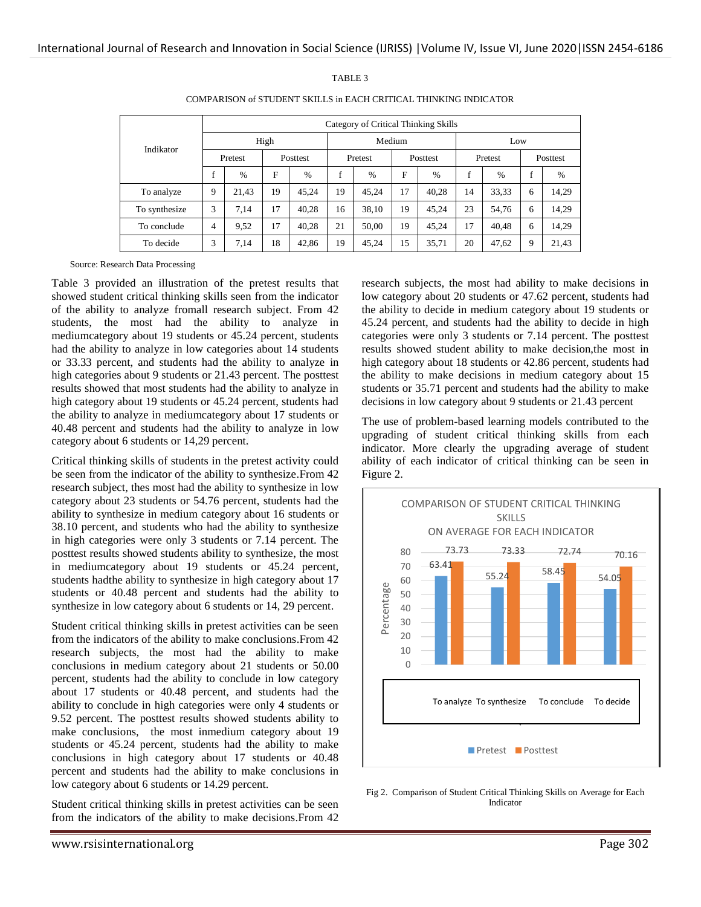|               | Category of Critical Thinking Skills |       |          |        |         |               |                 |               |         |               |          |       |
|---------------|--------------------------------------|-------|----------|--------|---------|---------------|-----------------|---------------|---------|---------------|----------|-------|
| Indikator     | High                                 |       |          | Medium |         |               |                 | Low           |         |               |          |       |
|               | Pretest                              |       | Posttest |        | Pretest |               | <b>Posttest</b> |               | Pretest |               | Posttest |       |
|               | $\mathbf{f}$                         | $\%$  | F        | $\%$   | f       | $\frac{0}{0}$ | F               | $\frac{0}{0}$ | f       | $\frac{0}{0}$ | f        | $\%$  |
| To analyze    | 9                                    | 21.43 | 19       | 45.24  | 19      | 45.24         | 17              | 40,28         | 14      | 33,33         | 6        | 14,29 |
| To synthesize | 3                                    | 7.14  | 17       | 40.28  | 16      | 38,10         | 19              | 45,24         | 23      | 54,76         | 6        | 14,29 |
| To conclude   | 4                                    | 9,52  | 17       | 40.28  | 21      | 50,00         | 19              | 45,24         | 17      | 40,48         | 6        | 14,29 |
| To decide     | 3                                    | 7.14  | 18       | 42,86  | 19      | 45,24         | 15              | 35,71         | 20      | 47,62         | 9        | 21,43 |

TABLE 3 COMPARISON of STUDENT SKILLS in EACH CRITICAL THINKING INDICATOR

Source: Research Data Processing

Table 3 provided an illustration of the pretest results that showed student critical thinking skills seen from the indicator of the ability to analyze fromall research subject. From 42 students, the most had the ability to analyze in mediumcategory about 19 students or 45.24 percent, students had the ability to analyze in low categories about 14 students or 33.33 percent, and students had the ability to analyze in high categories about 9 students or 21.43 percent. The posttest results showed that most students had the ability to analyze in high category about 19 students or 45.24 percent, students had the ability to analyze in mediumcategory about 17 students or 40.48 percent and students had the ability to analyze in low category about 6 students or 14,29 percent.

Critical thinking skills of students in the pretest activity could be seen from the indicator of the ability to synthesize.From 42 research subject, thes most had the ability to synthesize in low category about 23 students or 54.76 percent, students had the ability to synthesize in medium category about 16 students or 38.10 percent, and students who had the ability to synthesize in high categories were only 3 students or 7.14 percent. The posttest results showed students ability to synthesize, the most in mediumcategory about 19 students or 45.24 percent, students hadthe ability to synthesize in high category about 17 students or 40.48 percent and students had the ability to synthesize in low category about 6 students or 14, 29 percent.

Student critical thinking skills in pretest activities can be seen from the indicators of the ability to make conclusions.From 42 research subjects, the most had the ability to make conclusions in medium category about 21 students or 50.00 percent, students had the ability to conclude in low category about 17 students or 40.48 percent, and students had the ability to conclude in high categories were only 4 students or 9.52 percent. The posttest results showed students ability to make conclusions, the most inmedium category about 19 students or 45.24 percent, students had the ability to make conclusions in high category about 17 students or 40.48 percent and students had the ability to make conclusions in low category about 6 students or 14.29 percent.

Student critical thinking skills in pretest activities can be seen from the indicators of the ability to make decisions.From 42 research subjects, the most had ability to make decisions in low category about 20 students or 47.62 percent, students had the ability to decide in medium category about 19 students or 45.24 percent, and students had the ability to decide in high categories were only 3 students or 7.14 percent. The posttest results showed student ability to make decision,the most in high category about 18 students or 42.86 percent, students had the ability to make decisions in medium category about 15 students or 35.71 percent and students had the ability to make decisions in low category about 9 students or 21.43 percent

The use of problem-based learning models contributed to the upgrading of student critical thinking skills from each indicator. More clearly the upgrading average of student ability of each indicator of critical thinking can be seen in Figure 2.



Fig 2. Comparison of Student Critical Thinking Skills on Average for Each Indicator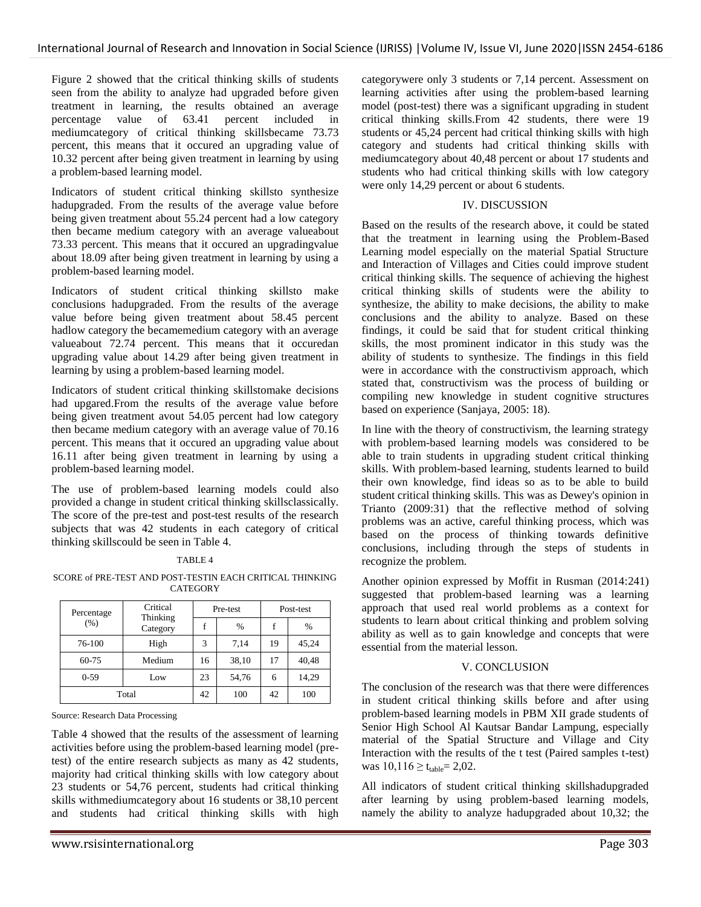Figure 2 showed that the critical thinking skills of students seen from the ability to analyze had upgraded before given treatment in learning, the results obtained an average percentage value of 63.41 percent included in mediumcategory of critical thinking skillsbecame 73.73 percent, this means that it occured an upgrading value of 10.32 percent after being given treatment in learning by using a problem-based learning model.

Indicators of student critical thinking skillsto synthesize hadupgraded. From the results of the average value before being given treatment about 55.24 percent had a low category then became medium category with an average valueabout 73.33 percent. This means that it occured an upgradingvalue about 18.09 after being given treatment in learning by using a problem-based learning model.

Indicators of student critical thinking skillsto make conclusions hadupgraded. From the results of the average value before being given treatment about 58.45 percent hadlow category the becamemedium category with an average valueabout 72.74 percent. This means that it occuredan upgrading value about 14.29 after being given treatment in learning by using a problem-based learning model.

Indicators of student critical thinking skillstomake decisions had upgared.From the results of the average value before being given treatment avout 54.05 percent had low category then became medium category with an average value of 70.16 percent. This means that it occured an upgrading value about 16.11 after being given treatment in learning by using a problem-based learning model.

The use of problem-based learning models could also provided a change in student critical thinking skillsclassically. The score of the pre-test and post-test results of the research subjects that was 42 students in each category of critical thinking skillscould be seen in Table 4.

## TABLE 4

SCORE of PRE-TEST AND POST-TESTIN EACH CRITICAL THINKING **CATEGORY** 

| Percentage | Critical<br>Thinking |    | Pre-test | Post-test |       |  |
|------------|----------------------|----|----------|-----------|-------|--|
| (% )       | Category             |    | $\%$     | f         | $\%$  |  |
| 76-100     | High                 | 3  | 7.14     | 19        | 45,24 |  |
| 60-75      | Medium               | 16 | 38,10    | 17        | 40,48 |  |
| $0-59$     | Low                  | 23 | 54,76    | 6         | 14,29 |  |
| Total      |                      | 42 | 100      | 42        | 100   |  |

Source: Research Data Processing

Table 4 showed that the results of the assessment of learning activities before using the problem-based learning model (pretest) of the entire research subjects as many as 42 students, majority had critical thinking skills with low category about 23 students or 54,76 percent, students had critical thinking skills withmediumcategory about 16 students or 38,10 percent and students had critical thinking skills with high categorywere only 3 students or 7,14 percent. Assessment on learning activities after using the problem-based learning model (post-test) there was a significant upgrading in student critical thinking skills.From 42 students, there were 19 students or 45,24 percent had critical thinking skills with high category and students had critical thinking skills with mediumcategory about 40,48 percent or about 17 students and students who had critical thinking skills with low category were only 14,29 percent or about 6 students.

# IV. DISCUSSION

Based on the results of the research above, it could be stated that the treatment in learning using the Problem-Based Learning model especially on the material Spatial Structure and Interaction of Villages and Cities could improve student critical thinking skills. The sequence of achieving the highest critical thinking skills of students were the ability to synthesize, the ability to make decisions, the ability to make conclusions and the ability to analyze. Based on these findings, it could be said that for student critical thinking skills, the most prominent indicator in this study was the ability of students to synthesize. The findings in this field were in accordance with the constructivism approach, which stated that, constructivism was the process of building or compiling new knowledge in student cognitive structures based on experience (Sanjaya, 2005: 18).

In line with the theory of constructivism, the learning strategy with problem-based learning models was considered to be able to train students in upgrading student critical thinking skills. With problem-based learning, students learned to build their own knowledge, find ideas so as to be able to build student critical thinking skills. This was as Dewey's opinion in Trianto (2009:31) that the reflective method of solving problems was an active, careful thinking process, which was based on the process of thinking towards definitive conclusions, including through the steps of students in recognize the problem.

Another opinion expressed by Moffit in Rusman (2014:241) suggested that problem-based learning was a learning approach that used real world problems as a context for students to learn about critical thinking and problem solving ability as well as to gain knowledge and concepts that were essential from the material lesson.

# V. CONCLUSION

The conclusion of the research was that there were differences in student critical thinking skills before and after using problem-based learning models in PBM XII grade students of Senior High School Al Kautsar Bandar Lampung, especially material of the Spatial Structure and Village and City Interaction with the results of the t test (Paired samples t-test) was  $10,116 \ge t_{table} = 2,02$ .

All indicators of student critical thinking skillshadupgraded after learning by using problem-based learning models, namely the ability to analyze hadupgraded about 10,32; the